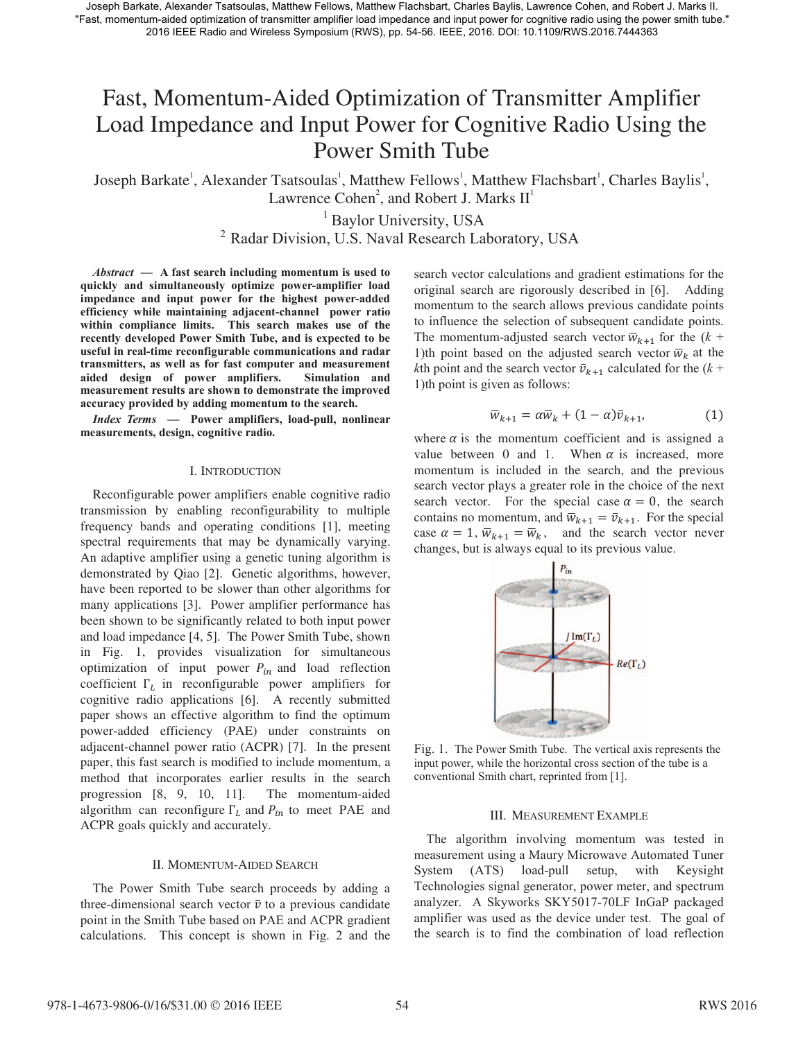Joseph Barkate, Alexander Tsatsoulas, Matthew Fellows, Matthew Flachsbart, Charles Baylis, Lawrence Cohen, and Robert J. Marks II. "Fast, momentum-aided optimization of transmitter amplifier load impedance and input power for cognitive radio using the power smith tube." 2016 IEEE Radio and Wireless Symposium (RWS), pp. 54-56. IEEE, 2016. DOI: 10.1109/RWS.2016.7444363

# Fast, Momentum-Aided Optimization of Transmitter Amplifier Load Impedance and Input Power for Cognitive Radio Using the Power Smith Tube

Joseph Barkate<sup>1</sup>, Alexander Tsatsoulas<sup>1</sup>, Matthew Fellows<sup>1</sup>, Matthew Flachsbart<sup>1</sup>, Charles Baylis<sup>1</sup>, Lawrence Cohen<sup>2</sup>, and Robert J. Marks  $II<sup>1</sup>$ 

<sup>1</sup> Baylor University, USA

<sup>2</sup> Radar Division, U.S. Naval Research Laboratory, USA

*Abstract* **— A fast search including momentum is used to quickly and simultaneously optimize power-amplifier load impedance and input power for the highest power-added efficiency while maintaining adjacent-channel power ratio within compliance limits. This search makes use of the recently developed Power Smith Tube, and is expected to be useful in real-time reconfigurable communications and radar transmitters, as well as for fast computer and measurement aided design of power amplifiers. Simulation and measurement results are shown to demonstrate the improved accuracy provided by adding momentum to the search.** 

*Index Terms* **— Power amplifiers, load-pull, nonlinear measurements, design, cognitive radio.**

### I. INTRODUCTION

Reconfigurable power amplifiers enable cognitive radio transmission by enabling reconfigurability to multiple frequency bands and operating conditions [1], meeting spectral requirements that may be dynamically varying. An adaptive amplifier using a genetic tuning algorithm is demonstrated by Qiao [2]. Genetic algorithms, however, have been reported to be slower than other algorithms for many applications [3]. Power amplifier performance has been shown to be significantly related to both input power and load impedance [4, 5]. The Power Smith Tube, shown in Fig. 1, provides visualization for simultaneous optimization of input power  $P_{in}$  and load reflection coefficient  $\Gamma_L$  in reconfigurable power amplifiers for cognitive radio applications [6]. A recently submitted paper shows an effective algorithm to find the optimum power-added efficiency (PAE) under constraints on adjacent-channel power ratio (ACPR) [7]. In the present paper, this fast search is modified to include momentum, a method that incorporates earlier results in the search progression [8, 9, 10, 11]. The momentum-aided algorithm can reconfigure  $\Gamma_L$  and  $P_{in}$  to meet PAE and ACPR goals quickly and accurately.

## II. MOMENTUM-AIDED SEARCH

The Power Smith Tube search proceeds by adding a three-dimensional search vector  $\bar{v}$  to a previous candidate point in the Smith Tube based on PAE and ACPR gradient calculations. This concept is shown in Fig. 2 and the search vector calculations and gradient estimations for the original search are rigorously described in [6]. Adding momentum to the search allows previous candidate points to influence the selection of subsequent candidate points. The momentum-adjusted search vector  $\overline{w}_{k+1}$  for the ( $k +$ 1)th point based on the adjusted search vector  $\overline{w}_k$  at the *k*th point and the search vector  $\bar{v}_{k+1}$  calculated for the ( $k +$ 1)th point is given as follows:

$$
\overline{w}_{k+1} = \alpha \overline{w}_k + (1 - \alpha) \overline{v}_{k+1},
$$
\n(1)

where  $\alpha$  is the momentum coefficient and is assigned a value between 0 and 1. When  $\alpha$  is increased, more momentum is included in the search, and the previous search vector plays a greater role in the choice of the next search vector. For the special case  $\alpha = 0$ , the search contains no momentum, and  $\overline{w}_{k+1} = \overline{v}_{k+1}$ . For the special case  $\alpha = 1$ ,  $\overline{w}_{k+1} = \overline{w}_k$ , and the search vector never changes, but is always equal to its previous value.



Fig. 1. The Power Smith Tube. The vertical axis represents the input power, while the horizontal cross section of the tube is a conventional Smith chart, reprinted from [1].

#### III. MEASUREMENT EXAMPLE

The algorithm involving momentum was tested in measurement using a Maury Microwave Automated Tuner System (ATS) load-pull setup, with Keysight Technologies signal generator, power meter, and spectrum analyzer. A Skyworks SKY5017-70LF InGaP packaged amplifier was used as the device under test. The goal of the search is to find the combination of load reflection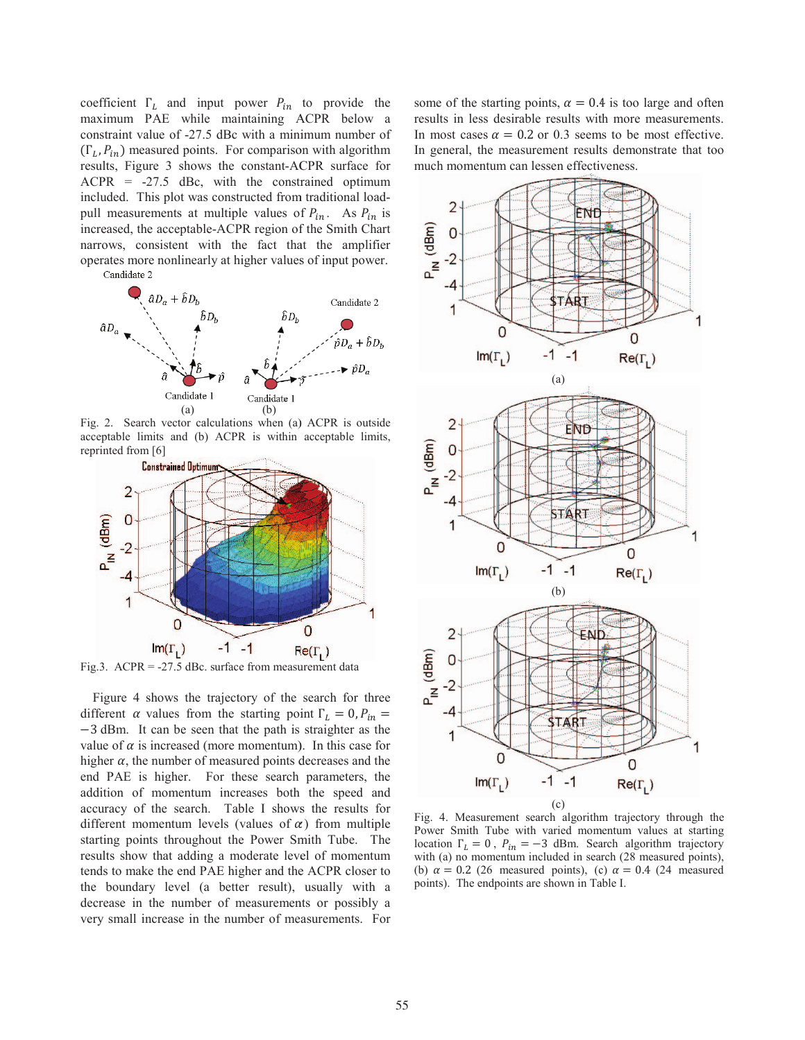coefficient  $\Gamma_L$  and input power  $P_{in}$  to provide the maximum PAE while maintaining A ACPR below a constraint value of -27.5 dBc with a mini imum number of  $(\Gamma_L, P_{in})$  measured points. For comparison with algorithm results, Figure 3 shows the constant-ACPR surface for  $ACPR = -27.5$  dBc, with the constrained optimum included. This plot was constructed from traditional loadpull measurements at multiple values of  $P_{in}$ . As  $P_{in}$  is increased, the acceptable-ACPR region of the Smith Chart narrows, consistent with the fact that the amplifier operates more nonlinearly at higher values s of input power.





Fig. 2. Search vector calculations when (a) ACPR is outside acceptable limits and (b) ACPR is within acceptable limits, reprinted from [6]



Fig.3.  $ACPR = -27.5$  dBc. surface from measurement data

Figure 4 shows the trajectory of the search for three different  $\alpha$  values from the starting point  $\Gamma_L = 0$ ,  $P_{in} =$  $-3$  dBm. It can be seen that the path is straighter as the value of  $\alpha$  is increased (more momentum). In this case for higher  $\alpha$ , the number of measured points decreases and the end PAE is higher. For these search parameters, the addition of momentum increases both the speed and accuracy of the search. Table I shows the results for different momentum levels (values of  $\alpha$ ) from multiple starting points throughout the Power Smith Tube. The results show that adding a moderate level of momentum tends to make the end PAE higher and the ACPR closer to the boundary level (a better result), usually with a decrease in the number of measurements or possibly a very small increase in the number of me asurements. For some of the starting points,  $\alpha = 0.4$  is too large and often results in less desirable results with more measurements. In most cases  $\alpha = 0.2$  or 0.3 seems to be most effective. In general, the measurement results demonstrate that too much momentum can lessen effectiveness.



Fig. 4. Measurement search algorithm m trajectory through the Power Smith Tube with varied momentum values at starting location  $\Gamma_L = 0$ ,  $P_{in} = -3$  dBm. Search algorithm trajectory with (a) no momentum included in search (28 measured points), (b)  $\alpha = 0.2$  (26 measured points), (c)  $\alpha = 0.4$  (24 measured points). The endpoints are shown in Table I.